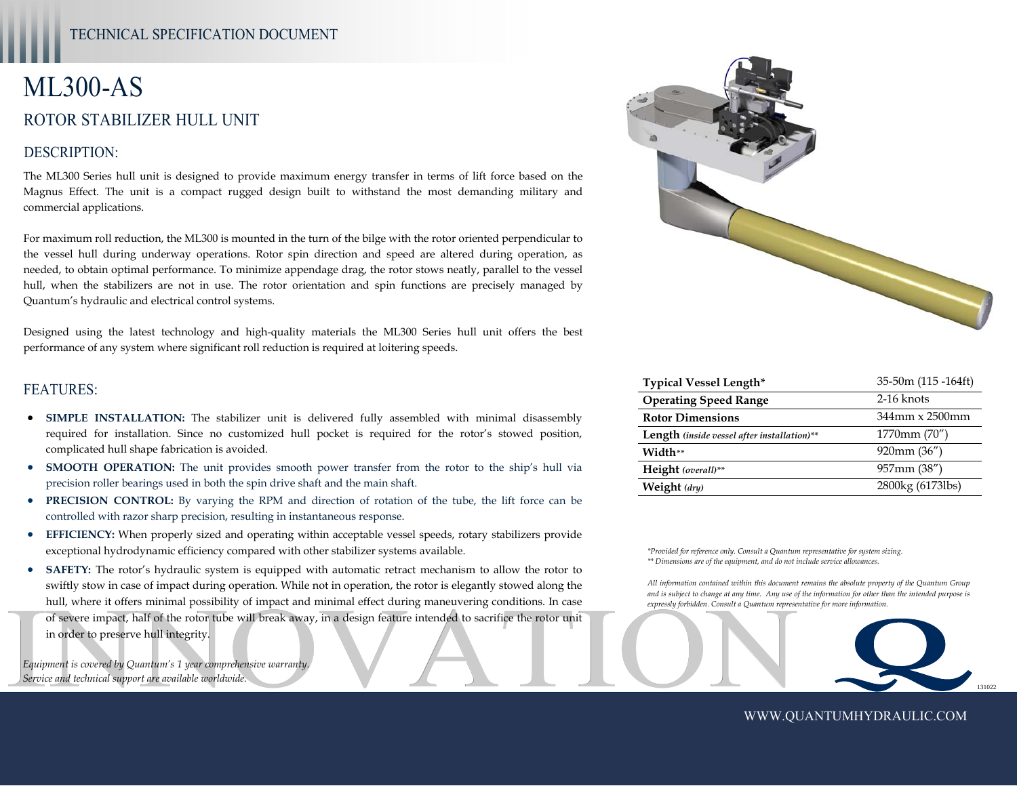# ML300-AS ROTOR STABILIZER HULL UNIT

## DESCRIPTION:

The ML300 Series hull unit is designed to provide maximum energy transfer in terms of lift force based on the Magnus Effect. The unit is a compact rugged design built to withstand the most demanding military and commercial applications.

For maximum roll reduction, the ML300 is mounted in the turn of the bilge with the rotor oriented perpendicular to the vessel hull during underway operations. Rotor spin direction and speed are altered during operation, as needed, to obtain optimal performance. To minimize appendage drag, the rotor stows neatly, parallel to the vessel hull, when the stabilizers are not in use. The rotor orientation and spin functions are precisely managed by Quantum's hydraulic and electrical control systems.

Designed using the latest technology and high-quality materials the ML300 Series hull unit offers the best performance of any system where significant roll reduction is required at loitering speeds.

#### FEATURES:

- **SIMPLE INSTALLATION:** The stabilizer unit is delivered fully assembled with minimal disassembly required for installation. Since no customized hull pocket is required for the rotor's stowed position, complicated hull shape fabrication is avoided.
- **SMOOTH OPERATION:** The unit provides smooth power transfer from the rotor to the ship's hull via precision roller bearings used in both the spin drive shaft and the main shaft.
- **PRECISION CONTROL:** By varying the RPM and direction of rotation of the tube, the lift force can be controlled with razor sharp precision, resulting in instantaneous response.
- **EFFICIENCY:** When properly sized and operating within acceptable vessel speeds, rotary stabilizers provide exceptional hydrodynamic efficiency compared with other stabilizer systems available.
- Of severe impact, half of the rotor tube will break away, in a design feature intended to sacrifice the rotor unit<br>in order to preserve hull integrity.<br>Equipment is covered by Quantum's 1 year comprehensive warranty,<br>Servi **SAFETY:** The rotor's hydraulic system is equipped with automatic retract mechanism to allow the rotor to swiftly stow in case of impact during operation. While not in operation, the rotor is elegantly stowed along the hull, where it offers minimal possibility of impact and minimal effect during maneuvering conditions. In case in order to preserve hull integrity.

*Equipment is covered by Quantum's 1 year comprehensive warranty. Service and technical support are available worldwide.* 



| <b>Typical Vessel Length*</b>                      | $35-50m(115-164ft)$ |
|----------------------------------------------------|---------------------|
| <b>Operating Speed Range</b>                       | 2-16 knots          |
| <b>Rotor Dimensions</b>                            | 344mm x 2500mm      |
| <b>Length</b> (inside vessel after installation)** | 1770mm (70")        |
| Width**                                            | $920$ mm $(36'')$   |
| Height (overall)**                                 | 957mm (38")         |
| Weight $(dr_y)$                                    | 2800kg (6173lbs)    |

*\*Provided for reference only. Consult a Quantum representative for system sizing. \*\* Dimensions are of the equipment, and do not include service allowances.* 

*All information contained within this document remains the absolute property of the Quantum Group and is subject to change at any time. Any use of the information for other than the intended purpose is expressly forbidden. Consult a Quantum representative for more information.* 



WWW.QUANTUMHYDRAULIC.COM